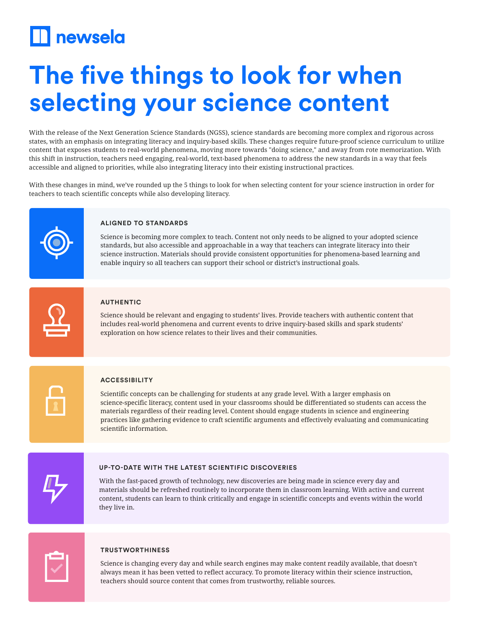## **Thewsela**

# **The five things to look for when selecting your science content**

With the release of the Next Generation Science Standards (NGSS), science standards are becoming more complex and rigorous across states, with an emphasis on integrating literacy and inquiry-based skills. These changes require future-proof science curriculum to utilize content that exposes students to real-world phenomena, moving more towards "doing science," and away from rote memorization. With this shift in instruction, teachers need engaging, real-world, text-based phenomena to address the new standards in a way that feels accessible and aligned to priorities, while also integrating literacy into their existing instructional practices.

With these changes in mind, we've rounded up the 5 things to look for when selecting content for your science instruction in order for teachers to teach scientific concepts while also developing literacy.



### **ALIGNED TO STANDARDS**

Science is becoming more complex to teach. Content not only needs to be aligned to your adopted science standards, but also accessible and approachable in a way that teachers can integrate literacy into their science instruction. Materials should provide consistent opportunities for phenomena-based learning and enable inquiry so all teachers can support their school or district's instructional goals.



#### **AUTHENTIC**

Science should be relevant and engaging to students' lives. Provide teachers with authentic content that includes real-world phenomena and current events to drive inquiry-based skills and spark students' exploration on how science relates to their lives and their communities.



#### **ACCESSIBILITY**

Scientific concepts can be challenging for students at any grade level. With a larger emphasis on science-specific literacy, content used in your classrooms should be differentiated so students can access the materials regardless of their reading level. Content should engage students in science and engineering practices like gathering evidence to craft scientific arguments and effectively evaluating and communicating scientific information.



#### **UP-TO-DATE WITH THE LATEST SCIENTIFIC DISCOVERIES**

With the fast-paced growth of technology, new discoveries are being made in science every day and materials should be refreshed routinely to incorporate them in classroom learning. With active and current content, students can learn to think critically and engage in scientific concepts and events within the world they live in.



#### **TRUSTWORTHINESS**

Science is changing every day and while search engines may make content readily available, that doesn't always mean it has been vetted to reflect accuracy. To promote literacy within their science instruction, teachers should source content that comes from trustworthy, reliable sources.